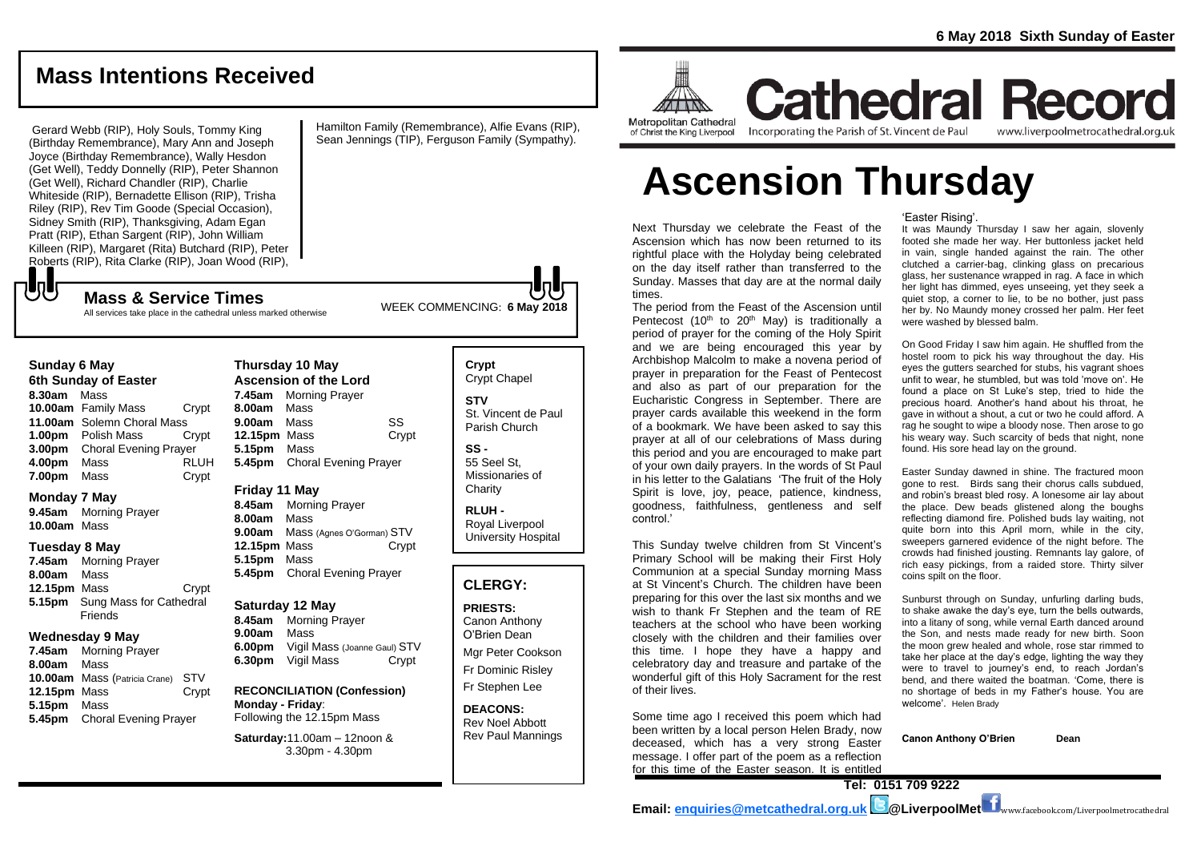www.liverpoolmetrocathedral.org.uk

# **Mass Intentions Received**

Gerard Webb (RIP), Holy Souls, Tommy King (Birthday Remembrance), Mary Ann and Joseph Joyce (Birthday Remembrance), Wally Hesdon (Get Well), Teddy Donnelly (RIP), Peter Shannon (Get Well), Richard Chandler (RIP), Charlie Whiteside (RIP), Bernadette Ellison (RIP), Trisha Riley (RIP), Rev Tim Goode (Special Occasion), Sidney Smith (RIP), Thanksgiving, Adam Egan Pratt (RIP), Ethan Sargent (RIP), John William Killeen (RIP), Margaret (Rita) Butchard (RIP), Peter Roberts (RIP), Rita Clarke (RIP), Joan Wood (RIP),

**Sunday 6 May 6th Sunday of Easter 8.30am** Mass

**UU** 

**Monday 7 May 9.45am** Morning Prayer

**10.00am** Mass **Tuesday 8 May 7.45am** Morning Prayer

**8.00am** Mass

**5.15pm** Mass

**11.00am** Solemn Choral Mass

**3.00pm** Choral Evening Prayer

**7.00pm** Mass Crypt

**12.15pm** Mass Crypt **5.15pm** Sung Mass for Cathedral **Friends Wednesday 9 May 7.45am** Morning Prayer **8.00am** Mass

**10.00am** Mass (Patricia Crane) STV **12.15pm** Mass Crypt

**5.45pm** Choral Evening Prayer

All services take place in the cathedral unless marked otherwise

Hamilton Family (Remembrance), Alfie Evans (RIP), Sean Jennings (TIP), Ferguson Family (Sympathy).

of Christ the King Liverpool

**Ascension Thursday**

Incorporating the Parish of St. Vincent de Paul

Next Thursday we celebrate the Feast of the Ascension which has now been returned to its rightful place with the Holyday being celebrated on the day itself rather than transferred to the Sunday. Masses that day are at the normal daily times.

 $\pi$ **Metropolitan Cathedral** 

The period from the Feast of the Ascension until Pentecost (10<sup>th</sup> to 20<sup>th</sup> May) is traditionally a period of prayer for the coming of the Holy Spirit and we are being encouraged this year by Archbishop Malcolm to make a novena period of prayer in preparation for the Feast of Pentecost and also as part of our preparation for the Eucharistic Congress in September. There are prayer cards available this weekend in the form of a bookmark. We have been asked to say this prayer at all of our celebrations of Mass during this period and you are encouraged to make part of your own daily prayers. In the words of St Paul in his letter to the Galatians 'The fruit of the Holy Spirit is love, joy, peace, patience, kindness, goodness, faithfulness, gentleness and self control.'

This Sunday twelve children from St Vincent's Primary School will be making their First Holy Communion at a special Sunday morning Mass at St Vincent's Church. The children have been preparing for this over the last six months and we wish to thank Fr Stephen and the team of RE teachers at the school who have been working closely with the children and their families over this time. I hope they have a happy and celebratory day and treasure and partake of the wonderful gift of this Holy Sacrament for the rest of their lives.

Some time ago I received this poem which had been written by a local person Helen Brady, now deceased, which has a very strong Easter message. I offer part of the poem as a reflection for this time of the Easter season. It is entitled

'Easter Rising'.

**Cathedral Record** 

It was Maundy Thursday I saw her again, slovenly footed she made her way. Her buttonless jacket held in vain, single handed against the rain. The other clutched a carrier-bag, clinking glass on precarious glass, her sustenance wrapped in rag. A face in which her light has dimmed, eyes unseeing, yet they seek a quiet stop, a corner to lie, to be no bother, just pass her by. No Maundy money crossed her palm. Her feet were washed by blessed balm.

On Good Friday I saw him again. He shuffled from the hostel room to pick his way throughout the day. His eyes the gutters searched for stubs, his vagrant shoes unfit to wear, he stumbled, but was told 'move on'. He found a place on St Luke's step, tried to hide the precious hoard. Another's hand about his throat, he gave in without a shout, a cut or two he could afford. A rag he sought to wipe a bloody nose. Then arose to go his weary way. Such scarcity of beds that night, none found. His sore head lay on the ground.

Easter Sunday dawned in shine. The fractured moon gone to rest. Birds sang their chorus calls subdued, and robin's breast bled rosy. A lonesome air lay about the place. Dew beads glistened along the boughs reflecting diamond fire. Polished buds lay waiting, not quite born into this April morn, while in the city, sweepers garnered evidence of the night before. The crowds had finished jousting. Remnants lay galore, of rich easy pickings, from a raided store. Thirty silver coins spilt on the floor.

Sunburst through on Sunday, unfurling darling buds, to shake awake the day's eye, turn the bells outwards, into a litany of song, while vernal Earth danced around the Son, and nests made ready for new birth. Soon the moon grew healed and whole, rose star rimmed to take her place at the day's edge, lighting the way they were to travel to journey's end, to reach Jordan's bend, and there waited the boatman. 'Come, there is no shortage of beds in my Father's house. You are welcome'. *Helen Brady*

**Canon Anthony O'Brien Dean**

**10.00am** Family Mass Crypt **1.00pm** Polish Mass Crypt **4.00pm** Mass RLUH **Thursday 10 May Ascension of the Lord 7.45am** Morning Prayer **8.00am** Mass **9.00am** Mass SS **12.15pm** Mass Crypt **5.15pm** Mass **5.45pm** Choral Evening Prayer

WEEK COMMENCING: **6 May <sup>2018</sup> Mass & Service Times**

#### **Friday 11 May**

**8.45am** Morning Prayer **8.00am** Mass **9.00am** Mass (Agnes O'Gorman) STV **12.15pm** Mass Crypt **5.15pm** Mass **5.45pm** Choral Evening Prayer

#### **Saturday 12 May**

**8.45am** Morning Prayer **9.00am** Mass **6.00pm** Vigil Mass (Joanne Gaul) STV **6.30pm** Vigil Mass Crypt

**RECONCILIATION (Confession) Monday - Friday**: Following the 12.15pm Mass

**Saturday:**11.00am – 12noon & 3.30pm - 4.30pm

**Crypt**  Crypt Chapel **STV** St. Vincent de Paul Parish Church

> **SS -** 55 Seel St, Missionaries of **Charity**

**RLUH -** Royal Liverpool University Hospital

### **CLERGY:**

**PRIESTS:** Canon Anthony O'Brien *Dean*

Mgr Peter Cookson Fr Dominic Risley Fr Stephen Lee

**DEACONS:** Rev Noel Abbott Rev Paul Mannings

**Tel: 0151 709 9222**